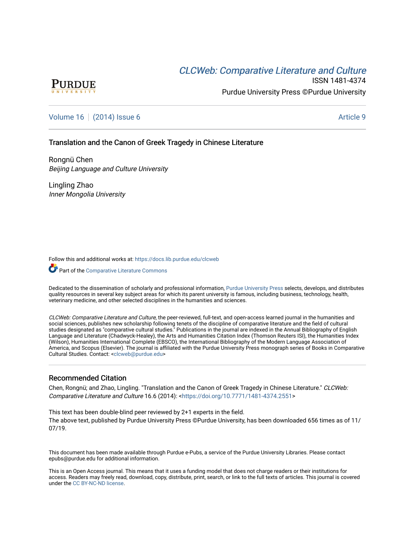# **CLCW[eb: Comparative Liter](https://docs.lib.purdue.edu/clcweb)ature and Culture**



ISSN 1481-4374 Purdue University Press ©Purdue University

# [Volume 16](https://docs.lib.purdue.edu/clcweb/vol16) | [\(2014\) Issue 6](https://docs.lib.purdue.edu/clcweb/vol16/iss6) Article 9

### Translation and the Canon of Greek Tragedy in Chinese Literature

Rongnü Chen Beijing Language and Culture University

Lingling Zhao Inner Mongolia University

Follow this and additional works at: [https://docs.lib.purdue.edu/clcweb](https://docs.lib.purdue.edu/clcweb?utm_source=docs.lib.purdue.edu%2Fclcweb%2Fvol16%2Fiss6%2F9&utm_medium=PDF&utm_campaign=PDFCoverPages)

Part of the [Comparative Literature Commons](http://network.bepress.com/hgg/discipline/454?utm_source=docs.lib.purdue.edu%2Fclcweb%2Fvol16%2Fiss6%2F9&utm_medium=PDF&utm_campaign=PDFCoverPages) 

Dedicated to the dissemination of scholarly and professional information, [Purdue University Press](http://www.thepress.purdue.edu/) selects, develops, and distributes quality resources in several key subject areas for which its parent university is famous, including business, technology, health, veterinary medicine, and other selected disciplines in the humanities and sciences.

CLCWeb: Comparative Literature and Culture, the peer-reviewed, full-text, and open-access learned journal in the humanities and social sciences, publishes new scholarship following tenets of the discipline of comparative literature and the field of cultural studies designated as "comparative cultural studies." Publications in the journal are indexed in the Annual Bibliography of English Language and Literature (Chadwyck-Healey), the Arts and Humanities Citation Index (Thomson Reuters ISI), the Humanities Index (Wilson), Humanities International Complete (EBSCO), the International Bibliography of the Modern Language Association of America, and Scopus (Elsevier). The journal is affiliated with the Purdue University Press monograph series of Books in Comparative Cultural Studies. Contact: [<clcweb@purdue.edu](mailto:clcweb@purdue.edu)>

### Recommended Citation

Chen, Rongnü; and Zhao, Lingling. "Translation and the Canon of Greek Tragedy in Chinese Literature." CLCWeb: Comparative Literature and Culture 16.6 (2014): <<https://doi.org/10.7771/1481-4374.2551>>

This text has been double-blind peer reviewed by 2+1 experts in the field. The above text, published by Purdue University Press ©Purdue University, has been downloaded 656 times as of 11/ 07/19.

This document has been made available through Purdue e-Pubs, a service of the Purdue University Libraries. Please contact epubs@purdue.edu for additional information.

This is an Open Access journal. This means that it uses a funding model that does not charge readers or their institutions for access. Readers may freely read, download, copy, distribute, print, search, or link to the full texts of articles. This journal is covered under the [CC BY-NC-ND license.](https://creativecommons.org/licenses/by-nc-nd/4.0/)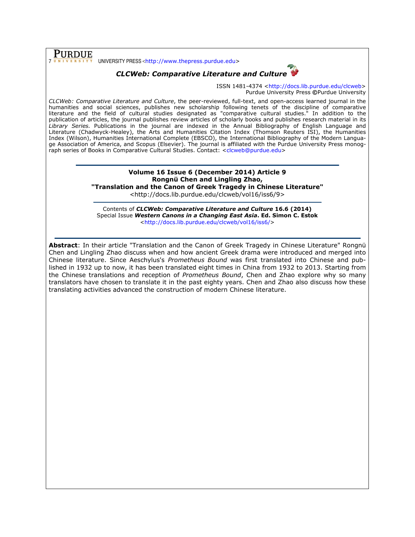PURDUE 7 UNIVERSITY PRESS <http://www.thepress.purdue.edu>

## CLCWeb: Comparative Literature and Culture



ISSN 1481-4374 <http://docs.lib.purdue.edu/clcweb> Purdue University Press ©Purdue University

CLCWeb: Comparative Literature and Culture, the peer-reviewed, full-text, and open-access learned journal in the humanities and social sciences, publishes new scholarship following tenets of the discipline of comparative literature and the field of cultural studies designated as "comparative cultural studies." In addition to the publication of articles, the journal publishes review articles of scholarly books and publishes research material in its Library Series. Publications in the journal are indexed in the Annual Bibliography of English Language and Literature (Chadwyck-Healey), the Arts and Humanities Citation Index (Thomson Reuters ISI), the Humanities Index (Wilson), Humanities International Complete (EBSCO), the International Bibliography of the Modern Language Association of America, and Scopus (Elsevier). The journal is affiliated with the Purdue University Press monograph series of Books in Comparative Cultural Studies. Contact: <clcweb@purdue.edu>

### Volume 16 Issue 6 (December 2014) Article 9 Rongnü Chen and Lingling Zhao, "Translation and the Canon of Greek Tragedy in Chinese Literature"

<http://docs.lib.purdue.edu/clcweb/vol16/iss6/9>

Contents of CLCWeb: Comparative Literature and Culture 16.6 (2014) Special Issue Western Canons in a Changing East Asia. Ed. Simon C. Estok <http://docs.lib.purdue.edu/clcweb/vol16/iss6/>

Abstract: In their article "Translation and the Canon of Greek Tragedy in Chinese Literature" Rongnü Chen and Lingling Zhao discuss when and how ancient Greek drama were introduced and merged into Chinese literature. Since Aeschylus's Prometheus Bound was first translated into Chinese and published in 1932 up to now, it has been translated eight times in China from 1932 to 2013. Starting from the Chinese translations and reception of Prometheus Bound, Chen and Zhao explore why so many translators have chosen to translate it in the past eighty years. Chen and Zhao also discuss how these translating activities advanced the construction of modern Chinese literature.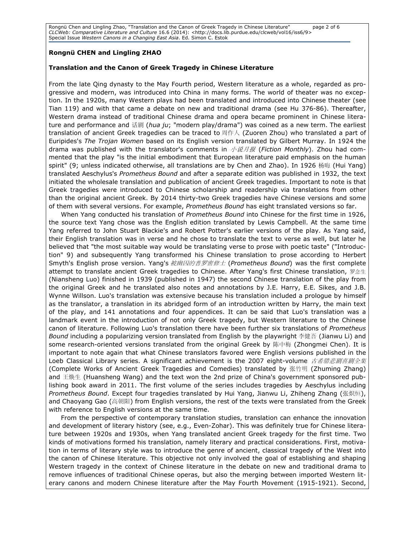Rongnü Chen and Lingling Zhao, "Translation and the Canon of Greek Tragedy in Chinese Literature" page 2 of 6 CLCWeb: Comparative Literature and Culture 16.6 (2014): <http://docs.lib.purdue.edu/clcweb/vol16/iss6/9> Special Issue Western Canons in a Changing East Asia. Ed. Simon C. Estok

### Rongnü CHEN and Lingling ZHAO

#### Translation and the Canon of Greek Tragedy in Chinese Literature

From the late Qing dynasty to the May Fourth period, Western literature as a whole, regarded as progressive and modern, was introduced into China in many forms. The world of theater was no exception. In the 1920s, many Western plays had been translated and introduced into Chinese theater (see Tian 119) and with that came a debate on new and traditional drama (see Hu 376-86). Thereafter, Western drama instead of traditional Chinese drama and opera became prominent in Chinese literature and performance and 话剧 (hua ju; "modern play/drama") was coined as a new term. The earliest translation of ancient Greek tragedies can be traced to 周作人 (Zuoren Zhou) who translated a part of Euripides's The Trojan Women based on its English version translated by Gilbert Murray. In 1924 the drama was published with the translator's comments in  $\triangle$   $\mathcal{H}$  (Fiction Monthly). Zhou had commented that the play "is the initial embodiment that European literature paid emphasis on the human spirit" (9; unless indicated otherwise, all translations are by Chen and Zhao). In 1926 杨晦 (Hui Yang) translated Aeschylus's Prometheus Bound and after a separate edition was published in 1932, the text initiated the wholesale translation and publication of ancient Greek tragedies. Important to note is that Greek tragedies were introduced to Chinese scholarship and readership via translations from other than the original ancient Greek. By 2014 thirty-two Greek tragedies have Chinese versions and some of them with several versions. For example, Prometheus Bound has eight translated versions so far.

When Yang conducted his translation of *Prometheus Bound* into Chinese for the first time in 1926, the source text Yang chose was the English edition translated by Lewis Campbell. At the same time Yang referred to John Stuart Blackie's and Robert Potter's earlier versions of the play. As Yang said, their English translation was in verse and he chose to translate the text to verse as well, but later he believed that "the most suitable way would be translating verse to prose with poetic taste" ("Introduction" 9) and subsequently Yang transformed his Chinese translation to prose according to Herbert Smyth's English prose version. Yang's 被幽囚的普罗密修士 (Prometheus Bound) was the first complete attempt to translate ancient Greek tragedies to Chinese. After Yang's first Chinese translation, 罗念生 (Niansheng Luo) finished in 1939 (published in 1947) the second Chinese translation of the play from the original Greek and he translated also notes and annotations by J.E. Harry, E.E. Sikes, and J.B. Wynne Willson. Luo's translation was extensive because his translation included a prologue by himself as the translator, a translation in its abridged form of an introduction written by Harry, the main text of the play, and 141 annotations and four appendices. It can be said that Luo's translation was a landmark event in the introduction of not only Greek tragedy, but Western literature to the Chinese canon of literature. Following Luo's translation there have been further six translations of Prometheus Bound including a popularizing version translated from English by the playwright 李健吾 (Jianwu Li) and some research-oriented versions translated from the original Greek by 陈中梅 (Zhongmei Chen). It is important to note again that what Chinese translators favored were English versions published in the Loeb Classical Library series. A significant achievement is the 2007 eight-volume 古希腊悲剧喜剧全集 (Complete Works of Ancient Greek Tragedies and Comedies) translated by 张竹明 (Zhuming Zhang) and 王焕生 (Huansheng Wang) and the text won the 2nd prize of China's government sponsored publishing book award in 2011. The first volume of the series includes tragedies by Aeschylus including Prometheus Bound. Except four tragedies translated by Hui Yang, Jianwu Li, Zhiheng Zhang (张炽恒), and Chaoyang Gao (高朝阳) from English versions, the rest of the texts were translated from the Greek with reference to English versions at the same time.

From the perspective of contemporary translation studies, translation can enhance the innovation and development of literary history (see, e.g., Even-Zohar). This was definitely true for Chinese literature between 1920s and 1930s, when Yang translated ancient Greek tragedy for the first time. Two kinds of motivations formed his translation, namely literary and practical considerations. First, motivation in terms of literary style was to introduce the genre of ancient, classical tragedy of the West into the canon of Chinese literature. This objective not only involved the goal of establishing and shaping Western tragedy in the context of Chinese literature in the debate on new and traditional drama to remove influences of traditional Chinese operas, but also the merging between imported Western literary canons and modern Chinese literature after the May Fourth Movement (1915-1921). Second,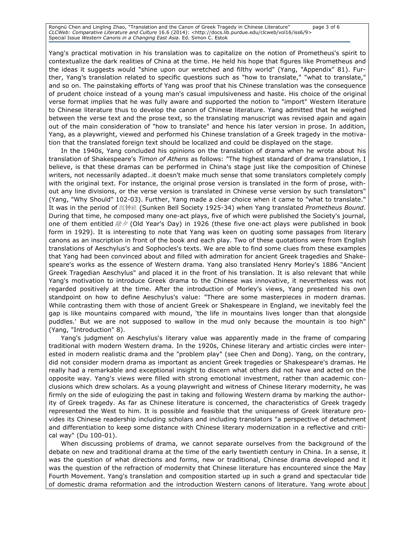Rongnü Chen and Lingling Zhao, "Translation and the Canon of Greek Tragedy in Chinese Literature" page 3 of 6 CLCWeb: Comparative Literature and Culture 16.6 (2014): <http://docs.lib.purdue.edu/clcweb/vol16/iss6/9> Special Issue Western Canons in a Changing East Asia. Ed. Simon C. Estok

Yang's practical motivation in his translation was to capitalize on the notion of Prometheus's spirit to contextualize the dark realities of China at the time. He held his hope that figures like Prometheus and the ideas it suggests would "shine upon our wretched and filthy world" (Yang, "Appendix" 81). Further, Yang's translation related to specific questions such as "how to translate," "what to translate," and so on. The painstaking efforts of Yang was proof that his Chinese translation was the consequence of prudent choice instead of a young man's casual impulsiveness and haste. His choice of the original verse format implies that he was fully aware and supported the notion to "import" Western literature to Chinese literature thus to develop the canon of Chinese literature. Yang admitted that he weighed between the verse text and the prose text, so the translating manuscript was revised again and again out of the main consideration of "how to translate" and hence his later version in prose. In addition, Yang, as a playwright, viewed and performed his Chinese translation of a Greek tragedy in the motivation that the translated foreign text should be localized and could be displayed on the stage.

In the 1940s, Yang concluded his opinions on the translation of drama when he wrote about his translation of Shakespeare's Timon of Athens as follows: "The highest standard of drama translation, I believe, is that these dramas can be performed in China's stage just like the composition of Chinese writers, not necessarily adapted…it doesn't make much sense that some translators completely comply with the original text. For instance, the original prose version is translated in the form of prose, without any line divisions, or the verse version is translated in Chinese verse version by such translators" (Yang, "Why Should" 102-03). Further, Yang made a clear choice when it came to "what to translate." It was in the period of 沉钟社 (Sunken Bell Society 1925-34) when Yang translated Prometheus Bound. During that time, he composed many one-act plays, five of which were published the Society's journal, one of them entitled  $\Re\gg$  (Old Year's Day) in 1926 (these five one-act plays were published in book form in 1929). It is interesting to note that Yang was keen on quoting some passages from literary canons as an inscription in front of the book and each play. Two of these quotations were from English translations of Aeschylus's and Sophocles's texts. We are able to find some clues from these examples that Yang had been convinced about and filled with admiration for ancient Greek tragedies and Shakespeare's works as the essence of Western drama. Yang also translated Henry Morley's 1886 "Ancient Greek Tragedian Aeschylus" and placed it in the front of his translation. It is also relevant that while Yang's motivation to introduce Greek drama to the Chinese was innovative, it nevertheless was not regarded positively at the time. After the introduction of Morley's views, Yang presented his own standpoint on how to define Aeschylus's value: "There are some masterpieces in modern dramas. While contrasting them with those of ancient Greek or Shakespeare in England, we inevitably feel the gap is like mountains compared with mound, 'the life in mountains lives longer than that alongside puddles.' But we are not supposed to wallow in the mud only because the mountain is too high" (Yang, "Introduction" 8).

Yang's judgment on Aeschylus's literary value was apparently made in the frame of comparing traditional with modern Western drama. In the 1920s, Chinese literary and artistic circles were interested in modern realistic drama and the "problem play" (see Chen and Dong). Yang, on the contrary, did not consider modern drama as important as ancient Greek tragedies or Shakespeare's dramas. He really had a remarkable and exceptional insight to discern what others did not have and acted on the opposite way. Yang's views were filled with strong emotional investment, rather than academic conclusions which drew scholars. As a young playwright and witness of Chinese literary modernity, he was firmly on the side of eulogizing the past in taking and following Western drama by marking the authority of Greek tragedy. As far as Chinese literature is concerned, the characteristics of Greek tragedy represented the West to him. It is possible and feasible that the uniqueness of Greek literature provides its Chinese readership including scholars and including translators "a perspective of detachment and differentiation to keep some distance with Chinese literary modernization in a reflective and critical way" (Du 100-01).

When discussing problems of drama, we cannot separate ourselves from the background of the debate on new and traditional drama at the time of the early twentieth century in China. In a sense, it was the question of what directions and forms, new or traditional, Chinese drama developed and it was the question of the refraction of modernity that Chinese literature has encountered since the May Fourth Movement. Yang's translation and composition started up in such a grand and spectacular tide of domestic drama reformation and the introduction Western canons of literature. Yang wrote about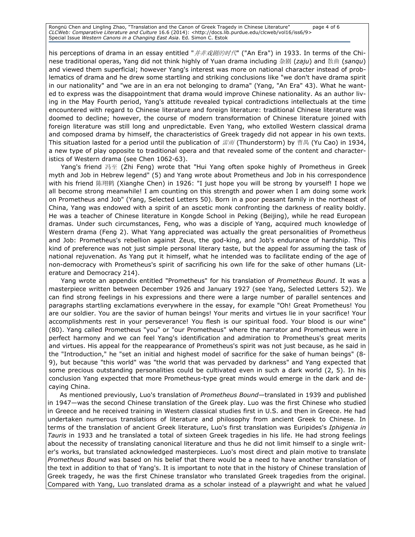Rongnü Chen and Lingling Zhao, "Translation and the Canon of Greek Tragedy in Chinese Literature" page 4 of 6 CLCWeb: Comparative Literature and Culture 16.6 (2014): <http://docs.lib.purdue.edu/clcweb/vol16/iss6/9> Special Issue Western Canons in a Changing East Asia. Ed. Simon C. Estok

his perceptions of drama in an essay entitled "*并非戏剧的时代*" ("An Era") in 1933. In terms of the Chinese traditional operas, Yang did not think highly of Yuan drama including 杂剧 (zaju) and 散曲 (sanqu) and viewed them superficial; however Yang's interest was more on national character instead of problematics of drama and he drew some startling and striking conclusions like "we don't have drama spirit in our nationality" and "we are in an era not belonging to drama" (Yang, "An Era" 43). What he wanted to express was the disappointment that drama would improve Chinese nationality. As an author living in the May Fourth period, Yang's attitude revealed typical contradictions intellectuals at the time encountered with regard to Chinese literature and foreign literature: traditional Chinese literature was doomed to decline; however, the course of modern transformation of Chinese literature joined with foreign literature was still long and unpredictable. Even Yang, who extolled Western classical drama and composed drama by himself, the characteristics of Greek tragedy did not appear in his own texts. This situation lasted for a period until the publication of  $\vec{\pounds}$  (Thunderstorm) by 曹禺 (Yu Cao) in 1934, a new type of play opposite to traditional opera and that revealed some of the content and characteristics of Western drama (see Chen 1062-63).

Yang's friend 冯至 (Zhi Feng) wrote that "Hui Yang often spoke highly of Prometheus in Greek myth and Job in Hebrew legend" (5) and Yang wrote about Prometheus and Job in his correspondence with his friend 陈翔鹤 (Xianghe Chen) in 1926: "I just hope you will be strong by yourself! I hope we all become strong meanwhile! I am counting on this strength and power when I am doing some work on Prometheus and Job" (Yang, Selected Letters 50). Born in a poor peasant family in the northeast of China, Yang was endowed with a spirit of an ascetic monk confronting the darkness of reality boldly. He was a teacher of Chinese literature in Kongde School in Peking (Beijing), while he read European dramas. Under such circumstances, Feng, who was a disciple of Yang, acquired much knowledge of Western drama (Feng 2). What Yang appreciated was actually the great personalities of Prometheus and Job: Prometheus's rebellion against Zeus, the god-king, and Job's endurance of hardship. This kind of preference was not just simple personal literary taste, but the appeal for assuming the task of national rejuvenation. As Yang put it himself, what he intended was to facilitate ending of the age of non-democracy with Prometheus's spirit of sacrificing his own life for the sake of other humans (Literature and Democracy 214).

Yang wrote an appendix entitled "Prometheus" for his translation of Prometheus Bound. It was a masterpiece written between December 1926 and January 1927 (see Yang, Selected Letters 52). We can find strong feelings in his expressions and there were a large number of parallel sentences and paragraphs startling exclamations everywhere in the essay, for example "Oh! Great Prometheus! You are our soldier. You are the savior of human beings! Your merits and virtues lie in your sacrifice! Your accomplishments rest in your perseverance! You flesh is our spiritual food. Your blood is our wine" (80). Yang called Prometheus "you" or "our Prometheus" where the narrator and Prometheus were in perfect harmony and we can feel Yang's identification and admiration to Prometheus's great merits and virtues. His appeal for the reappearance of Prometheus's spirit was not just because, as he said in the "Introduction," he "set an initial and highest model of sacrifice for the sake of human beings" (8- 9), but because "this world" was "the world that was pervaded by darkness" and Yang expected that some precious outstanding personalities could be cultivated even in such a dark world (2, 5). In his conclusion Yang expected that more Prometheus-type great minds would emerge in the dark and decaying China.

As mentioned previously, Luo's translation of Prometheus Bound—translated in 1939 and published in 1947—was the second Chinese translation of the Greek play. Luo was the first Chinese who studied in Greece and he received training in Western classical studies first in U.S. and then in Greece. He had undertaken numerous translations of literature and philosophy from ancient Greek to Chinese. In terms of the translation of ancient Greek literature, Luo's first translation was Euripides's Iphigenia in Tauris in 1933 and he translated a total of sixteen Greek tragedies in his life. He had strong feelings about the necessity of translating canonical literature and thus he did not limit himself to a single writer's works, but translated acknowledged masterpieces. Luo's most direct and plain motive to translate Prometheus Bound was based on his belief that there would be a need to have another translation of the text in addition to that of Yang's. It is important to note that in the history of Chinese translation of Greek tragedy, he was the first Chinese translator who translated Greek tragedies from the original. Compared with Yang, Luo translated drama as a scholar instead of a playwright and what he valued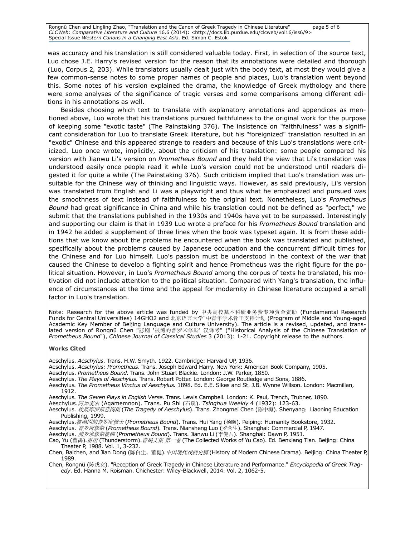Rongnü Chen and Lingling Zhao, "Translation and the Canon of Greek Tragedy in Chinese Literature" page 5 of 6 CLCWeb: Comparative Literature and Culture 16.6 (2014): <http://docs.lib.purdue.edu/clcweb/vol16/iss6/9> Special Issue Western Canons in a Changing East Asia. Ed. Simon C. Estok

was accuracy and his translation is still considered valuable today. First, in selection of the source text, Luo chose J.E. Harry's revised version for the reason that its annotations were detailed and thorough (Luo, Corpus 2, 203). While translators usually dealt just with the body text, at most they would give a few common-sense notes to some proper names of people and places, Luo's translation went beyond this. Some notes of his version explained the drama, the knowledge of Greek mythology and there were some analyses of the significance of tragic verses and some comparisons among different editions in his annotations as well.

Besides choosing which text to translate with explanatory annotations and appendices as mentioned above, Luo wrote that his translations pursued faithfulness to the original work for the purpose of keeping some "exotic taste" (The Painstaking 376). The insistence on "faithfulness" was a significant consideration for Luo to translate Greek literature, but his "foreignized" translation resulted in an "exotic" Chinese and this appeared strange to readers and because of this Luo's translations were criticized. Luo once wrote, implicitly, about the criticism of his translation: some people compared his version with Jianwu Li's version on Prometheus Bound and they held the view that Li's translation was understood easily once people read it while Luo's version could not be understood until readers digested it for quite a while (The Painstaking 376). Such criticism implied that Luo's translation was unsuitable for the Chinese way of thinking and linguistic ways. However, as said previously, Li's version was translated from English and Li was a playwright and thus what he emphasized and pursued was the smoothness of text instead of faithfulness to the original text. Nonetheless, Luo's Prometheus Bound had great significance in China and while his translation could not be defined as "perfect," we submit that the translations published in the 1930s and 1940s have yet to be surpassed. Interestingly and supporting our claim is that in 1939 Luo wrote a preface for his Prometheus Bound translation and in 1942 he added a supplement of three lines when the book was typeset again. It is from these additions that we know about the problems he encountered when the book was translated and published, specifically about the problems caused by Japanese occupation and the concurrent difficult times for the Chinese and for Luo himself. Luo's passion must be understood in the context of the war that caused the Chinese to develop a fighting spirit and hence Prometheus was the right figure for the political situation. However, in Luo's *Prometheus Bound* among the corpus of texts he translated, his motivation did not include attention to the political situation. Compared with Yang's translation, the influence of circumstances at the time and the appeal for modernity in Chinese literature occupied a small factor in Luo's translation.

Note: Research for the above article was funded by 中央高校基本科研业务费专项资金资助 (Fundamental Research Funds for Central Universities) 14GHO2 and 北京语言大学"中青年学术骨干支持计划 (Program of Middle and Young-aged Academic Key Member of Beijing Language and Culture University). The article is a revised, updated, and translated version of Rongnü Chen "悲剧 '被缚的普罗米修斯' 汉译考" ("Historical Analysis of the Chinese Translation of Prometheus Bound"), Chinese Journal of Classical Studies 3 (2013): 1-21. Copyright release to the authors.

#### Works Cited

Aeschylus. Aeschylus. Trans. H.W. Smyth. 1922. Cambridge: Harvard UP, 1936.

- Aeschylus. Aeschylus: Prometheus. Trans. Joseph Edward Harry. New York: American Book Company, 1905.
- Aeschylus. Prometheus Bound. Trans. John Stuart Blackie. London: J.W. Parker, 1850.
- Aeschylus. The Plays of Aeschylus. Trans. Robert Potter. London: George Routledge and Sons, 1886.
- Aeschylus. The Prometheus Vinctus of Aeschylus. 1898. Ed. E.E. Sikes and St. J.B. Wynne Willson. London: Macmillan, 1912.

Aeschylus. The Seven Plays in English Verse. Trans. Lewis Campbell. London: K. Paul, Trench, Trubner, 1890.

Aeschylus.阿加麦农 (Agamemnon). Trans. Pu Shi (石璞). Tsinghua Weekly 4 (1932): 123-63.

- Aeschylus. 埃斯库罗斯悲剧集 (The Tragedy of Aeschylus). Trans. Zhongmei Chen (陈中梅). Shenyang: Liaoning Education Publishing, 1999.
- Aeschylus. 被幽囚的普罗密修士 (Prometheus Bound). Trans. Hui Yang (杨晦). Peiping: Humanity Bookstore, 1932.

Aeschylus. 普罗密修斯 (Prometheus Bound). Trans. Niansheng Luo (罗念生). Shanghai: Commercial P, 1947.

Aeschylus. 浦罗米修斯被绑 (Prometheus Bound). Trans. Jianwu Li (李健吾). Shanghai: Dawn P, 1951.

Cao, Yu (曹禺).*雷雨* (Thunderstorm).*曹禺文集 第一卷* (The Collected Works of Yu Cao). Ed. Benxiang Tian. Beijing: China Theater P, 1988. Vol. 1, 3-232.

Chen, Baichen, and Jian Dong (陈白尘、董健). *中国现代戏剧史稿* (History of Modern Chinese Drama). Beijing: China Theater P, 1989.

Chen, Rongnü (陈戎女). "Reception of Greek Tragedy in Chinese Literature and Performance." *Encyclopedia of Greek Trag*edy. Ed. Hanna M. Roisman. Chichester: Wiley-Blackwell, 2014. Vol. 2, 1062-5.